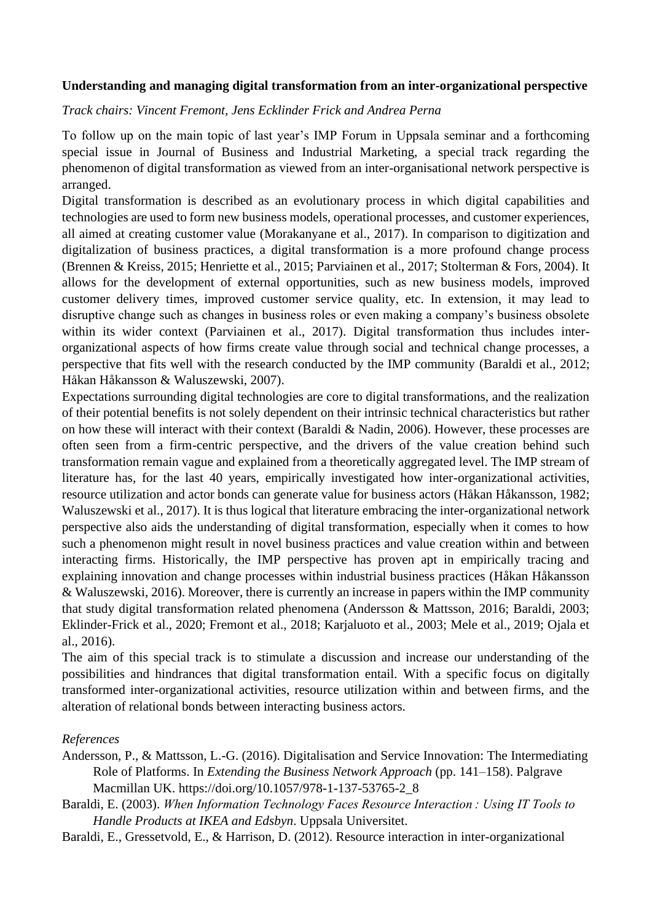## **Understanding and managing digital transformation from an inter-organizational perspective**

## *Track chairs: Vincent Fremont, Jens Ecklinder Frick and Andrea Perna*

To follow up on the main topic of last year's IMP Forum in Uppsala seminar and a forthcoming special issue in Journal of Business and Industrial Marketing, a special track regarding the phenomenon of digital transformation as viewed from an inter-organisational network perspective is arranged.

Digital transformation is described as an evolutionary process in which digital capabilities and technologies are used to form new business models, operational processes, and customer experiences, all aimed at creating customer value (Morakanyane et al., 2017). In comparison to digitization and digitalization of business practices, a digital transformation is a more profound change process (Brennen & Kreiss, 2015; Henriette et al., 2015; Parviainen et al., 2017; Stolterman & Fors, 2004). It allows for the development of external opportunities, such as new business models, improved customer delivery times, improved customer service quality, etc. In extension, it may lead to disruptive change such as changes in business roles or even making a company's business obsolete within its wider context (Parviainen et al., 2017). Digital transformation thus includes interorganizational aspects of how firms create value through social and technical change processes, a perspective that fits well with the research conducted by the IMP community (Baraldi et al., 2012; Håkan Håkansson & Waluszewski, 2007).

Expectations surrounding digital technologies are core to digital transformations, and the realization of their potential benefits is not solely dependent on their intrinsic technical characteristics but rather on how these will interact with their context (Baraldi & Nadin, 2006). However, these processes are often seen from a firm-centric perspective, and the drivers of the value creation behind such transformation remain vague and explained from a theoretically aggregated level. The IMP stream of literature has, for the last 40 years, empirically investigated how inter-organizational activities, resource utilization and actor bonds can generate value for business actors (Håkan Håkansson, 1982; Waluszewski et al., 2017). It is thus logical that literature embracing the inter-organizational network perspective also aids the understanding of digital transformation, especially when it comes to how such a phenomenon might result in novel business practices and value creation within and between interacting firms. Historically, the IMP perspective has proven apt in empirically tracing and explaining innovation and change processes within industrial business practices (Håkan Håkansson & Waluszewski, 2016). Moreover, there is currently an increase in papers within the IMP community that study digital transformation related phenomena (Andersson & Mattsson, 2016; Baraldi, 2003; Eklinder-Frick et al., 2020; Fremont et al., 2018; Karjaluoto et al., 2003; Mele et al., 2019; Ojala et al., 2016).

The aim of this special track is to stimulate a discussion and increase our understanding of the possibilities and hindrances that digital transformation entail*.* With a specific focus on digitally transformed inter-organizational activities, resource utilization within and between firms, and the alteration of relational bonds between interacting business actors.

## *References*

- Andersson, P., & Mattsson, L.-G. (2016). Digitalisation and Service Innovation: The Intermediating Role of Platforms. In *Extending the Business Network Approach* (pp. 141–158). Palgrave Macmillan UK. https://doi.org/10.1057/978-1-137-53765-2\_8
- Baraldi, E. (2003). *When Information Technology Faces Resource Interaction : Using IT Tools to Handle Products at IKEA and Edsbyn*. Uppsala Universitet.
- Baraldi, E., Gressetvold, E., & Harrison, D. (2012). Resource interaction in inter-organizational